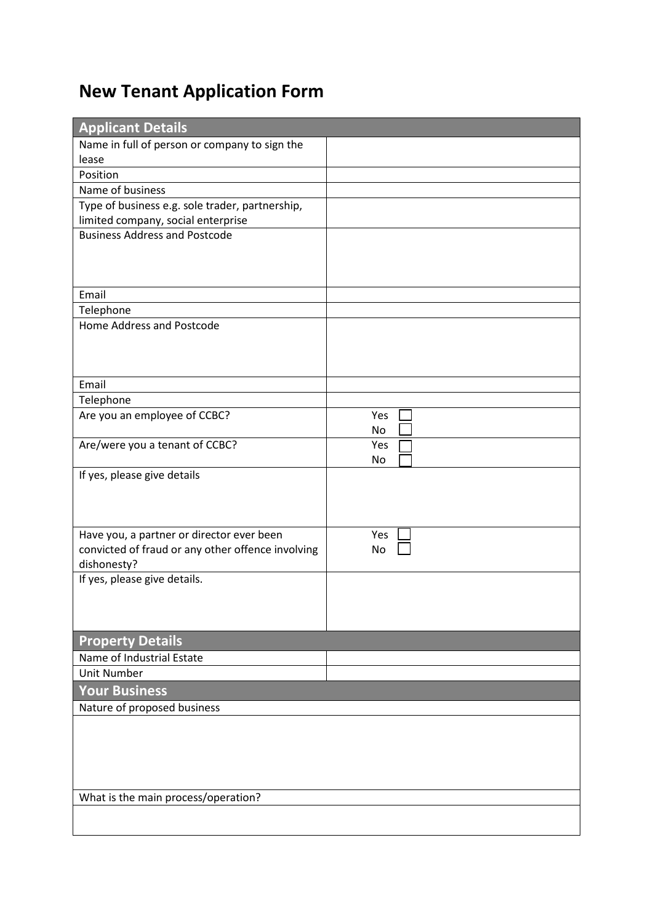## **New Tenant Application Form**

| <b>Applicant Details</b>                                                                       |           |  |
|------------------------------------------------------------------------------------------------|-----------|--|
| Name in full of person or company to sign the                                                  |           |  |
| lease                                                                                          |           |  |
| Position                                                                                       |           |  |
| Name of business                                                                               |           |  |
| Type of business e.g. sole trader, partnership,                                                |           |  |
| limited company, social enterprise                                                             |           |  |
| <b>Business Address and Postcode</b>                                                           |           |  |
|                                                                                                |           |  |
|                                                                                                |           |  |
|                                                                                                |           |  |
| Email                                                                                          |           |  |
| Telephone                                                                                      |           |  |
| Home Address and Postcode                                                                      |           |  |
|                                                                                                |           |  |
|                                                                                                |           |  |
|                                                                                                |           |  |
| Email                                                                                          |           |  |
| Telephone                                                                                      |           |  |
| Are you an employee of CCBC?                                                                   | Yes       |  |
|                                                                                                | <b>No</b> |  |
| Are/were you a tenant of CCBC?                                                                 | Yes       |  |
|                                                                                                | No        |  |
| If yes, please give details                                                                    |           |  |
|                                                                                                |           |  |
|                                                                                                |           |  |
|                                                                                                | Yes       |  |
| Have you, a partner or director ever been<br>convicted of fraud or any other offence involving | No        |  |
| dishonesty?                                                                                    |           |  |
| If yes, please give details.                                                                   |           |  |
|                                                                                                |           |  |
|                                                                                                |           |  |
|                                                                                                |           |  |
| <b>Property Details</b>                                                                        |           |  |
| Name of Industrial Estate                                                                      |           |  |
| <b>Unit Number</b>                                                                             |           |  |
|                                                                                                |           |  |
| <b>Your Business</b>                                                                           |           |  |
| Nature of proposed business                                                                    |           |  |
|                                                                                                |           |  |
|                                                                                                |           |  |
|                                                                                                |           |  |
|                                                                                                |           |  |
| What is the main process/operation?                                                            |           |  |
|                                                                                                |           |  |
|                                                                                                |           |  |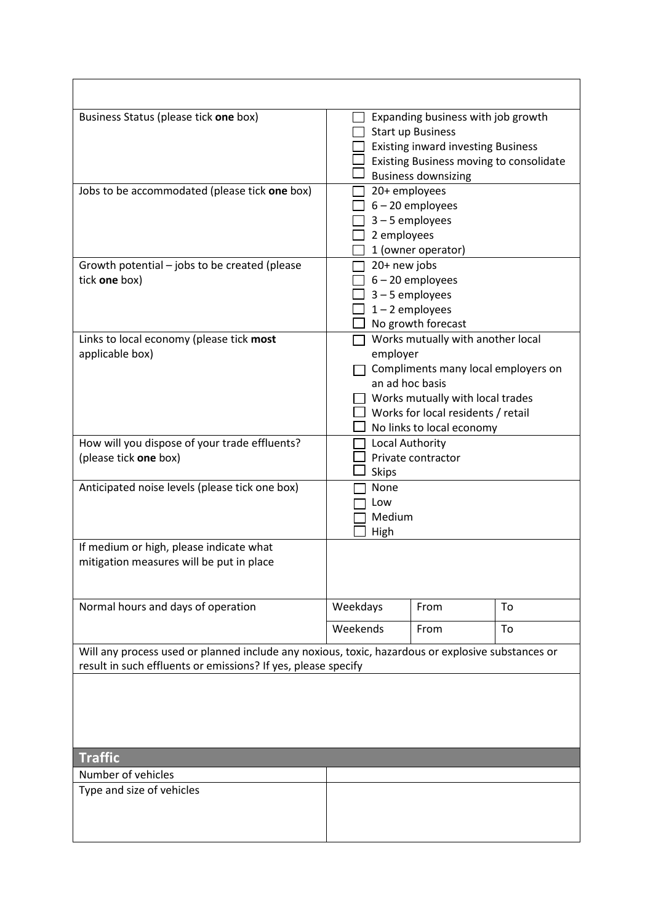| Business Status (please tick one box)                                                                                                                              | Expanding business with job growth<br><b>Start up Business</b><br><b>Existing inward investing Business</b><br>Existing Business moving to consolidate<br><b>Business downsizing</b>                           |  |
|--------------------------------------------------------------------------------------------------------------------------------------------------------------------|----------------------------------------------------------------------------------------------------------------------------------------------------------------------------------------------------------------|--|
| Jobs to be accommodated (please tick one box)                                                                                                                      | 20+ employees<br>$6 - 20$ employees<br>$3 - 5$ employees<br>2 employees<br>1 (owner operator)                                                                                                                  |  |
| Growth potential – jobs to be created (please<br>tick one box)                                                                                                     | 20+ new jobs<br>$6 - 20$ employees<br>$3 - 5$ employees<br>$1 - 2$ employees<br>No growth forecast                                                                                                             |  |
| Links to local economy (please tick most<br>applicable box)                                                                                                        | Works mutually with another local<br>employer<br>Compliments many local employers on<br>an ad hoc basis<br>Works mutually with local trades<br>Works for local residents / retail<br>No links to local economy |  |
| How will you dispose of your trade effluents?<br>(please tick one box)                                                                                             | Local Authority<br>Private contractor<br><b>Skips</b>                                                                                                                                                          |  |
| Anticipated noise levels (please tick one box)                                                                                                                     | <b>None</b><br>Low<br>Medium<br>High                                                                                                                                                                           |  |
| If medium or high, please indicate what<br>mitigation measures will be put in place                                                                                |                                                                                                                                                                                                                |  |
| Normal hours and days of operation                                                                                                                                 | Weekdays<br>From<br>To                                                                                                                                                                                         |  |
|                                                                                                                                                                    | Weekends<br>From<br>To                                                                                                                                                                                         |  |
| Will any process used or planned include any noxious, toxic, hazardous or explosive substances or<br>result in such effluents or emissions? If yes, please specify |                                                                                                                                                                                                                |  |
|                                                                                                                                                                    |                                                                                                                                                                                                                |  |
| <b>Traffic</b>                                                                                                                                                     |                                                                                                                                                                                                                |  |
| Number of vehicles<br>Type and size of vehicles                                                                                                                    |                                                                                                                                                                                                                |  |
|                                                                                                                                                                    |                                                                                                                                                                                                                |  |